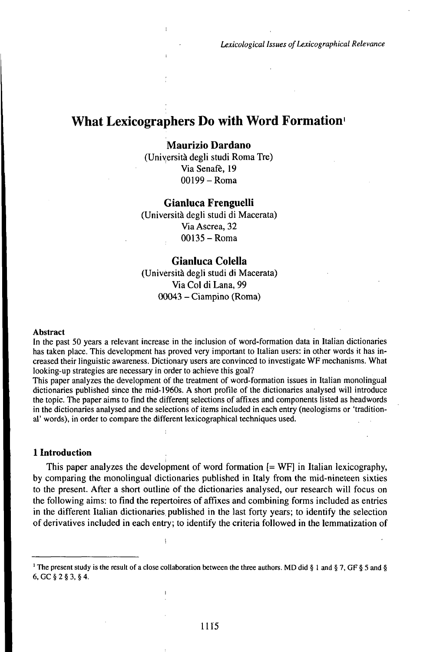# What Lexicographers Do with Word Formation<sup>1</sup>

## **Maurizio Dardano**

(Università degli studi Roma Tre) Via Senafè, 19 00199 - Roma

## **Gianluca Frenguelli**

(Università degli studi di Macerata) Via Ascrea, 32 O0135-Roma

## **Gianluca Colella**

(Università degli studi di Macerata) Via Col di Lana, 99 <sup>00043</sup> - Ciampino (Roma)

#### Abstract

In the past 50 years a relevant increase in the inclusion of word-formation data in Italian dictionaries has taken place. This development has proved very important to Italian users: in other words it has increased their linguistic awareness. Dictionary users are convinced to investigate WF mechanisms. What looking-up strategies are necessary in order to achieve this goal?

This paper analyzes the development of the treatment of word-formation issues in Italian monolingual dictionaries published since the mid-1960s. A short profile of the dictionaries analysed will introduce the topic. The paper aims to find the different selections of affixes and components listed as headwords in the dictionaries analysed and the selections of items included in each entry (neologisms or 'traditional' words), in order to compare the different lexicographical techniques used.

#### **1 Introduction**

This paper analyzes the development of word formation [= WF] in Italian lexicography, by comparing the monolingual dictionaries published in Italy from the mid-nineteen sixties to the present. After a short outlinè of the dictionaries analysed, our research will focus on the following aims: to find the repertoires of affixes and combining forms included as entries in the different Italian dictionaries, published in the last forty years; to identify the selection ofderivatives included in each entry; to identify the criteria followed in the lemmatization of

<sup>&</sup>lt;sup>1</sup> The present study is the result of a close collaboration between the three authors. MD did § 1 and § 7, GF § 5 and § 6, GC § 2 § 3, § 4.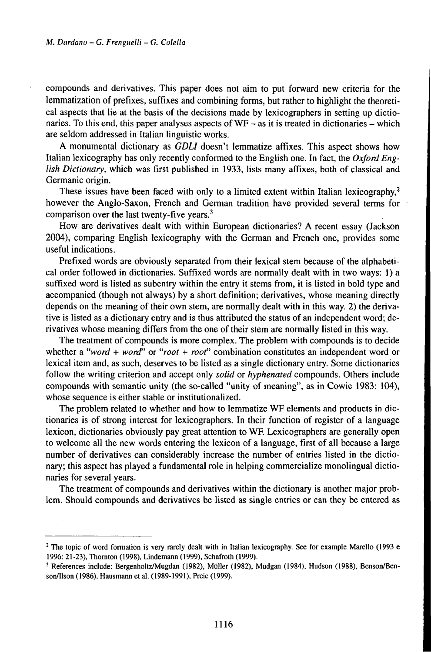compounds and derivatives. This paper does not aim to put forward new criteria for the lemmatization of prefixes, suffixes and combining forms, but rather to highlight the theoretical aspects that lie at the basis of the decisions made by lexicographers in setting up dictionaries. To this end, this paper analyses aspects of  $WF -$  as it is treated in dictionaries – which are seldom addressed in Italian linguistic works.

A monumental dictionary as *GDLI* doesn't lemmatize affixes. This aspect shows how Italian lexicography has only recently conformed to the English one. In fact, the *Oxford English Dictionary*, which was first published in 1933, lists many affixes, both of classical and Germanic origin.

These issues have been faced with only to a limited extent within Italian lexicography, $2$ however the Anglo-Saxon, French and German tradition have provided several terms for comparison over the last twenty-five years.<sup>3</sup>

How are derivatives dealt with within European dictionaries? A recent essay (Jackson 2004), comparing English lexicography with the German and French one, provides some useful indications.

Prefixed words are obviously separated from their lexical stem because of the alphabetical order followed in dictionaries. Suffixed words are normally dealt with in two ways: 1) a suffixed word is listed as subentry within the entry it stems from, it is listed in bold type and accompanied (though not always) by a short definition; derivatives, whose meaning directly depends on the meaning of their own stem, are normally dealt with in this way. 2) the derivative is listed as a dictionary entry and is thus attributed the status of an independent word; derivatives whose meaning differs from the one of their stem are normally listed in this way.

The treatment of compounds is more complex. The problem with compounds is to decide whether <sup>a</sup> *"word <sup>+</sup> worď* or *"root <sup>+</sup> root"* combination constitutes an independent word or lexical item and, as such, deserves to be listed as a single dictionary entry. Some dictionaries follow the writing criterion and accept only *solid* or *hyphenated* compounds. Others include compounds with semantic unity (the so-called "unity of meaning", as in Cowie 1983: 104), whose sequence is either stable or institutionalized.

The problem related to whether and how to lemmatize WF elements and products in dictionaries is of strong interest for lexicographers. In their function of register of a language lexicon, dictionaries obviously pay great attention to WF. Lexicographers are generally open to welcome all the new words entering the lexicon of a language, first of all because a large number of derivatives can considerably increase the number of entries listed in the dictionary; this aspect has played a fundamental role in helping commercialize monolingual dictionaries for several years.

The treatment of compounds and derivatives within the dictionary is another major problem. Should compounds and derivatives be listed as single entries or can they be entered as

<sup>&</sup>lt;sup>2</sup> The topic of word formation is very rarely dealt with in Italian lexicography. See for example Marello (1993 e 1996: 21-23), Thornton (1998), Lindemann (1999), Schafroth (1999).

<sup>3</sup> References include: BergenholtzMugdan (1982), Müller (1982), Mudgan (1984), Hudson (1988), Benson/Ben son/Ilson (1986), Hausmann et al. (1989-1991), Prcic (1999).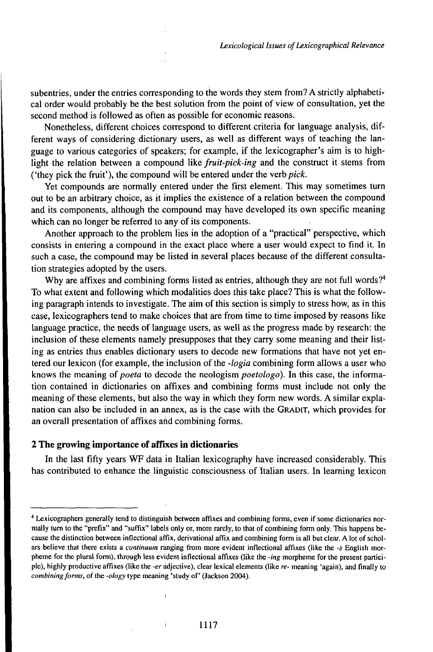subentries, under the entries corresponding to the words they stem from? A strictly alphabetical order would probably be the best solution from the point of view of consultation, yet the second method is followed as often as possible for economic reasons.

Nonetheless, different choices correspond to different criteria for language analysis, different ways of considering dictionary users, as well as different ways of teaching the language to various categories of speakers; for example, if the lexicographer's aim is to highlight the relation between a compound like *fruit-pick-ing* and the construct it stems from ('they pick the fruit'), the compound will be entered under the verb *pick.*

Yet compounds are normally entered under the first element. This may sometimes turn out to be an arbitrary choice, as it implies the existence of a relation between the compound and its components, although the compound may have developed its own specific meaning which can no longer be referred to any of its components.

Another approach to the problem lies in the adoption of a "practical" perspective, which consists in entering a compound in the exact place where a user would expect to find it. In such a case, the compound may be listed in several places because of the different consultation strategies adopted by the users.

Why are affixes and combining forms listed as entries, although they are not full words?<sup>4</sup> To what extent and following which modalities does this take place? This is what the following paragraph intends to investigate. The aim of this section is simply to stress how, as in this case, lexicographers tend to make choices that are from time to time imposed by reasons like language practice, the needs of language users, as well as the progress made by research: the inclusion of these elements namely presupposes that they carry some meaning and their listing as entries thus enables dictionary users to decode new formations that have not yet entered our lexicon (for example, theinclusion ofthe *-logia* combining form allows a user who knows the meaning of *poeta* to decode the neologism *poetologo*). In this case, the information contained in dictionaries on affixes and combining forms must include not only the meaning of these elements, but also the way in which they form new words. A similar explanation can also be included in an annex, as is the case with the GRADIT, which provides for an overall presentation of affixes and combining forms.

## **2 The growing importance of affixes in dictionaries**

In the last fifty years WF data in Italian lexicography have increased considerably. This has contributed to enhance the linguistic consciousness of Italian users. In learning lexicon

<sup>4</sup> Lexicographers generally tend to distinguish between affixes and combining forms, even if some dictionaries normally turn to the "prefix" and "suffix" labels only or, more rarely, to that of combining form only. This happens because the distinction between inflectional affix, derivational affix and combining form is all but clear. A lot of scholars believe that there exists a *continuum* ranging from more evident inflectional affixes (like the *-s* English morpheme for the plural form), through less evident inflectional affixes (like the *-ing* morpheme for the present participle), highly productive affixes (like the *-er* adjective), clear lexical elements (like *re-* meaning 'again), and finally to *combining forms,* of the *-ology* type meaning 'study of' (Jackson 2004).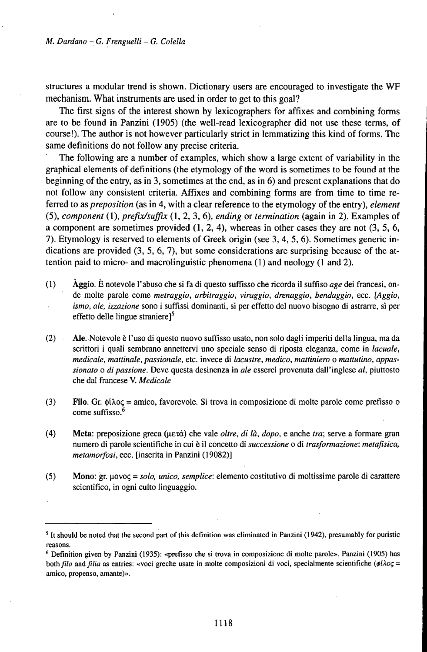structures a modular trend is shown. Dictionary users are encouraged to investigate the WF mechanism. What instruments are used in order to get to this goal?

The first signs of the interest shown by lexicographers for affixes and combining forms are to be found in Panzini (1905) (the well-read lexicographer did not use these terms, of course!). The author is not however particularly strict in lemmatizing this kind of forms. The same definitions do not follow any precise criteria.

The following are a number of examples, which show a large extent of variability in the graphical elements of definitions (the etymology of the word is sometimes to be found at the beginning of the entry, as in 3, sometimes at the end, as in 6) and present explanations that do not follow any consistent criteria. Affixes and combining forms are from time to time referred to as *preposition* (as in 4, with a clear reference to the etymology of the entry), *element* (5), *component* (1), *prefix/suffix* (1, 2, 3, 6), *ending* or *termination* (again in 2). Examples of a component are sometimes provided  $(1, 2, 4)$ , whereas in other cases they are not  $(3, 5, 6, 6)$ 7). Etymology is reserved to elements of Greek origin (see 3, 4, 5, 6). Sometimes generic indications are provided (3, 5, 6, 7), but some considerations are surprising because of the attention paid to micro- and macrolinguistic phenomena (1) and neology (1 and 2).

- (1) Àggio. È notevole l'abuso che si fa di questo suffisso che ricorda il suffiso *age* dei francesi, onde molte parole come *metraggio, arbitraggio, viraggio, drenaggio, bendaggio,* ecc. *[Aggio, ismo, ale, izzazione* sono i suffissi dominanti, sì per effetto del nuovo bisogno di astrarre, sì per effetto delle lingue straniere $\mathfrak{I}^5$
- (2) Ale. Notevole è l'uso di questo nuovo suffisso usato, non solo dagli imperiti della lingua, ma da scrittori i quali sembrano annettervi uno speciale senso di riposta eleganza, come in *lacuale, medicale, mattinale, passionale,* etc. invece di *lacustre, medico, mattiniero* o *mattutino, appassionato* o *di passione.* Deve questa desinenza in *ale* esserci provenuta dall'inglese *al,* piuttosto che dal francese V. *Medicale*
- (3) Filo. Gr. *tyiloq* = amico, favorevole. Si trova in composizione di molte parole come prefisso o come suffisso.<sup>6</sup>
- (4) Meta: preposizione greca (uexa) che vale *oltre, di là, dopo,* e anche *tra;* serve a formare gran numero di parole scientifiche in cui è il concetto di *successione* o di *trasformazione: metafisica, metamorfosi,* ecc. [inserita in Panzini (19082)]
- (5) Mono: gr. uovoç = *solo, unico, semplice:* elemento costitutivo di moltissime parole di carattere scientifico, in ogni culto linguaggio.

 $<sup>5</sup>$  It should be noted that the second part of this definition was eliminated in Panzini (1942), presumably for puristic</sup> reasons.

<sup>6</sup> Definition given by Panzini (1935): «prefisso che si trova in composizione di molte parole». Panzini (1905) has *both filo* and *filia* as entries: «voci greche usate in molte composizioni di voci, specialmente scientifiche (φίλος = amico, propenso, amante)».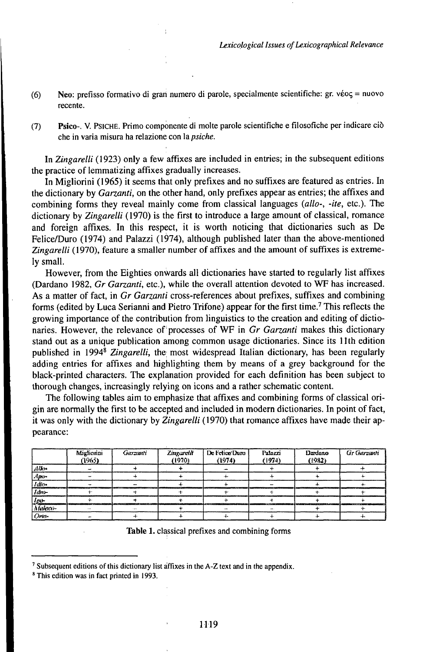- (6) Neo: prefisso formativo di gran numero di parole, specialmente scientifiche: gr. véoç = nuovo recente.
- (7) Psico-. V. PsiCHE. Primo componente di molte parole scientifiche e filosofiche per indicare ciò che in varia misura ha relazione con *ìapsiche.*

In *Zingarelli* (1923) only a few affixes are included in entries; in the subsequent editions the practice of lemmatizing affixes gradually increases.

In Migliorini (1965) it seems that only prefixes and no suffixes are featured as entries. In the dictionary by *Garzanti,* on the other hand, only prefixes appear as entries; the affixes and combining forms they reveal mainly come from classical languages *{allo-, -ite,* etc.). The dictionary by *Zingarelli* (1970) is the first to introduce a large amount of classical, romance and foreign affixes. In this respect, it is worth noticing that dictionaries such as De Felice/Duro (1974) and Palazzi (1974), although published later than the above-mentioned *Zingarelli* (1970), feature a smaller number of affixes and the amount of suffixes is extremely small.

However, from the Eighties onwards all dictionaries have started to regularly list affixes (Dardano 1982, *Gr Garzanti,* etc.), while the overall attention devoted to WF has increased. As a matter of fact, in *Gr Garzanti* cross-references about prefixes, suffixes and combining forms (edited by Luca Serianni and Pietro Trifone) appear for the first time.<sup>7</sup> This reflects the growing importance of the contribution from linguistics to the creation and editing of dictionaries. However, the relevance of processes of WF in *Gr Garzanti* makes this dictionary stand out as a unique publication among common usage dictionaries. Since its llth edition published in 1994<sup>8</sup> *Zingarelli,* the most widespread Italian dictionary, has been regularly adding entries for affixes and highlighting them by means of a grey background for the black-printed characters. The explanation provided for each definition has been subject to thorough changes, increasingly relying on icons and a rather schematic content.

The following tables aim to emphasize that affixes and combining forms of classical origin are normally the first to be accepted and included in modern dictionaries. In point offact, it was only with the dictionary by *Zingarelli* (1970) that romance affixes have made their appearance:

|                                | Migliorini<br>(1965) | Garzani | Zingaretit<br>(1970). | De Felioe Duro<br>(1974) | Palazzi<br>(1974) | Dardano<br>(1932) | <b>Gr</b> Garzanti |
|--------------------------------|----------------------|---------|-----------------------|--------------------------|-------------------|-------------------|--------------------|
| $\frac{d\,db\cdots}{dp\cdots}$ |                      |         |                       |                          |                   |                   |                    |
|                                |                      |         |                       |                          |                   |                   |                    |
|                                |                      |         |                       |                          |                   |                   |                    |
| Idro-                          |                      |         |                       |                          |                   |                   |                    |
| Jer                            |                      |         |                       |                          |                   |                   |                    |
| Mulaco-                        |                      |         |                       |                          |                   |                   |                    |
|                                |                      |         |                       |                          |                   |                   |                    |

Table 1. classical prefixes and combining forms

 $<sup>7</sup>$  Subsequent editions of this dictionary list affixes in the A-Z text and in the appendix.</sup>

<sup>8</sup> This edition was in fact printed in 1993.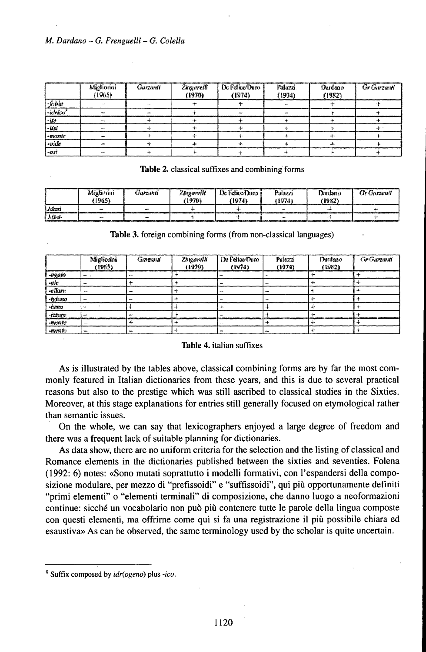|                                                                                                               | Migliorini<br>(1965) | Garzanti | Zingarelli<br>(1970) | De Felice Dunn<br>(1974) | Palazzi.<br>(1974) | Durdano<br>(1982) | <b>Gr Gurzanti</b> |
|---------------------------------------------------------------------------------------------------------------|----------------------|----------|----------------------|--------------------------|--------------------|-------------------|--------------------|
| fobia                                                                                                         | 14.11                | $\cdots$ |                      |                          | $\cdots$           |                   |                    |
| -ktrico <sup>7</sup>                                                                                          |                      |          |                      |                          |                    |                   |                    |
| $-125$                                                                                                        |                      |          |                      |                          |                    |                   |                    |
| $1 - 1055$                                                                                                    | 1111                 |          |                      |                          |                    |                   | <b>40</b>          |
|                                                                                                               | mar.                 |          |                      |                          |                    |                   |                    |
| $\begin{array}{ l } \hline \hline \textit{onimic}\\ \hline \textit{culer}\\ \hline \textit{cust} \end{array}$ |                      |          |                      |                          |                    |                   |                    |
|                                                                                                               | مسر                  |          |                      |                          |                    |                   |                    |

#### Table 2. classical suffixes and combining forms

|          |             |             |                   |               | ,,,,,,,,,, |          |             |
|----------|-------------|-------------|-------------------|---------------|------------|----------|-------------|
|          | Minfiorini  | Garzanti    | <b>Zorgarylli</b> | De Felixe/Dam | Palazzi    | Durdsenn | Gr Garzanit |
|          | 1965)       |             | 1970)             | (1974)        | 1974)      | (1982    |             |
| i Afrui  | $\tilde{ }$ | --          |                   |               |            |          |             |
| l Afûnî- | ww.         | <b>SALE</b> |                   |               | <b>MA</b>  |          |             |

Table 3. foreign combining forms (from non-classical languages)

|                                        | Miglioriai<br>(1965) | Carrout | Zingareth<br>(1970) | De Felice Dum<br>(1974) | Pulazzi<br>(1974) | Dardsno<br>(1982) | <b>GrGarzant</b> |
|----------------------------------------|----------------------|---------|---------------------|-------------------------|-------------------|-------------------|------------------|
|                                        |                      |         |                     |                         |                   |                   |                  |
|                                        | AM-                  |         |                     |                         | $\mathbf{w}$      | ÷.                |                  |
|                                        | w.                   | w.      |                     | <b>ALA</b>              |                   |                   |                  |
|                                        | ---                  |         |                     |                         |                   |                   |                  |
|                                        | MAG.                 |         |                     |                         |                   |                   |                  |
|                                        | m<br>--------        | .       |                     |                         |                   |                   |                  |
| $\frac{1}{1-\frac{1}{2}\arccos\theta}$ | $\cdots$             |         |                     |                         |                   |                   |                  |
| $-$ <i>mesito</i>                      | w.                   |         |                     |                         |                   |                   |                  |

## Table 4. italian suffixes

As is illustrated by the tables above, classical combining forms are by far the most commonly featured in Italian dictionaries from these years, and this is due to several practical reasons but also to the prestige which was still ascribed to classical studies in the Sixties. Moreover, at this stage explanations for entries still generally focused on etymological rather than semantic issues.

On the whole, we can say that lexicographers enjoyed a large degree of freedom and there was a frequent lack of suitable planning for dictionaries.

As data show, there are no uniform criteria for the selection and the listing of classical and Romance elements in the dictionaries published between the sixties and seventies. Folena (1992: 6) notes: «Sono mutati soprattutto <sup>i</sup> modelli formativi, con l'espandersi della composizione modulare, per mezzo di "prefissoidi" e "suffissoidi", qui più opportunamente definiti "primi elementi" 0 "elementi terminali" di composizione, che danno luogo a neoformazioni continue: sicché un vocabolario non può più contenere tutte le parole della lingua composte con questi elementi, ma offrirne come qui si fa una registrazione il più possibile chiara ed esaustiva» As can be observed, the same terminology used by the scholar is quite uncertain.

<sup>&#</sup>x27; Suffix composed by *idĄogenó)* plus *-ico.*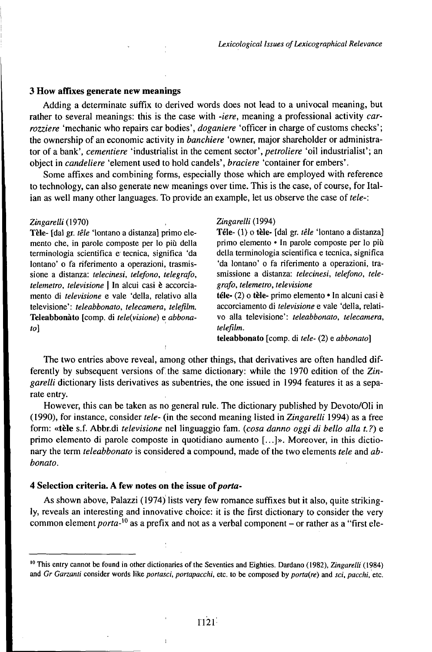### **3 How affixes generate new meanings**

Adding a determinate suffix to derived words does not lead to a univocal meaning, but rather to several meanings: this is the case with *-iere,* meaning a professional activity *carrozziere* 'mechanic who repairs car bodies', *doganiere* 'officer in charge of customs checks'; the ownership of an economic activity in *banchiere* 'owner, major shareholder or administrator of a bank', *cementiere* 'industrialist in the cement sector', *petroliere* 'oil industrialist'; an object in *candeliere* 'element used to hold candels', *braciere* 'container for embers'.

Some affixes and combining forms, especially those which are employed with reference to technology, can also generate new meanings over time. This is the case, of course, for Italian as well many other languages. To provide an example, let us observe the case of tele-:

#### *Zingarelli(\910)*

Tèle- [dal gr. *têle* 'lontano a distanza] primo elemento che, in parole composte per lo più della terminologia scientifica e tecnica, significa 'da lontano' o fa riferimento a operazioni, trasmissione a distanza: *telecinesi, telefono, telegrafo, telemetro, televisione* <sup>|</sup> In alcui casi è accorciamento di *televisione* e vale 'della, relativo alla televisione': *teleabbonato, telecamera, telefilm.* Teleabbonàto [comp. di *tele(visione)* e *abbonato]*

#### *Zingarelli{\99A)*

Téle- (1) o **tèle-** [dal gr. *téle* 'lontano a distanza] primo elemento • In parole composte per lo più della terminologia scientifica e tecnica, significa 'da lontano' o fa riferimento a operazioni, trasmissione a distanza: *telecinesi, telefono, telegrafo, telemetro, televisione*

**téle- (2)** o **tèle-** primo elemento • In alcuni casi è accorciamento di *televisione* e vale 'della, relativo alla televisione': *teleabbonato, telecamera, telefilm.*

**teleabbonato** [comp. di *tele-* (2) e *abbonato]*

The two entries above reveal, among other things, that derivatives are often handled differently by subsequent versions of the same dictionary: while the 1970 edition of the Zin*garelli* dictionary lists derivatives as subentries, the one issued in 1994 features it as a separate entry.

However, this can be taken as no general rule. The dictionary published by Devoto/Oli in (1990), for instance, consider *tele-* (in the second meaning listed in *Zingarelli* 1994) as a free form: **«tèle** s.f. Abbr.di *televisione* nel linguaggio fam. *(cosa danno oggi di bello alla t. ?)* e primo elemento di parole composte in quotidiano aumento [...]». Moreover, in this dictionary the term *teleabbonato* is considered a compound, made of the two elements *tele* and *abbonato.*

## **4 Selection criteria. A few notes on the issue** *oiporta-*

As shown above, Palazzi (1974) lists very few romance suffixes but it also, quite strikingly, reveals an interesting and innovative choice: it is the first dictionary to consider the very common element porta- $^{10}$  as a prefix and not as a verbal component – or rather as a "first ele-

<sup>&</sup>lt;sup>10</sup> This entry cannot be found in other dictionaries of the Seventies and Eighties. Dardano (1982), Zingarelli (1984) and *Gr Garzanti* consider words like *portasci, portapacchi,* etc. to be composed by *porta(re)* and *sci, pacchi,* etc.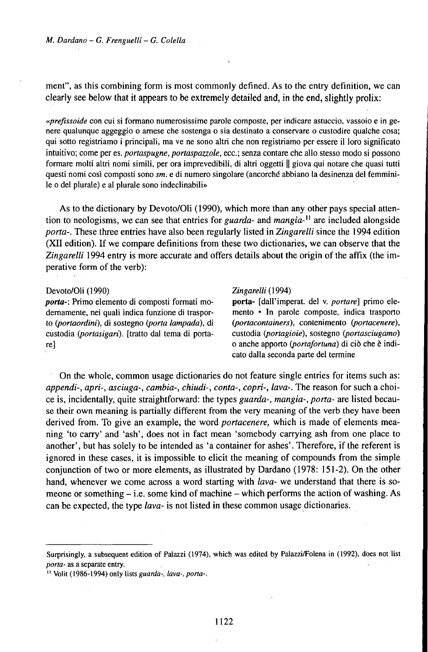ment", as this combining form is most commonly defined. As to the entry definition, we can clearly see below that it appears to be extremely detailed and, in the end, slightly prolix:

*«prefissoide* con cui si formano numerosissime parole composte, per indicare astuccio, vassoio e in genere qualunque aggeggio o arnese che sostenga o sia destinato a conservare o custodire qualche cosa; qui sotto registriamo <sup>i</sup> principali, ma ve ne sono altri che non registriamo per essere il loro significato intuitivo; come per es. *portaspugne, portaspazzole,* ecc.; senza contare che allo stesso modo si possono formare molti altri nomi simili, per ora imprevedibili, di altri oggetti || giova qui notare che quasi tutti questi nomi così composti sono *sm.* e di numero singolare (ancorché abbiano la desinenza del femminile o del plurale) e al plurale sono indeclinabili»

As to the dictionary by Devoto/Oli (1990), which more than any other pays special attention to neologisms, we can see that entries for *guarda-* and *mangia-n* are included alongside *porta-.* These three entries have also been regularly listed in *Zingarelli* since the 1994 edition (XII edition). If we compare definitions from these two dictionaries, we can observe that the *Zingarelli* 1994 entry is more accurate and offers details about the origin ofthe affix (the imperative form of the verb):

#### Devoto/Oli (1990) *Zingarelli* (1994)

dernamente, nei quali indica funzione di trasporto *Qjortaordini),* di sostegno *Q>orta lampada),* di *Q)ortacontainers),* contenimento *portacenere),* custodia *portasigari),* [tratto dal tema di porta- custodia *portagioie),* sostegno *Q)ortasciugamo)* re] o anche apporto *Q)ortafortuna)* di ciò che è indi-

*porta*: Primo elemento di composti formati mo-<br>dernamente, nei quali indica funzione di traspor- mento • In parole composte, indica trasporto cato dalla seconda parte del termine

On the whole, common usage dictionaries do not feature single entries for items such as: *appendi-, apri-, asciuga-, cambia-, chiudi-, conta-, copri-, lava-.* The reason for such a choice is, incidentally, quite straightforward: the types *guarda-, mangia-, porta-* are listed because their own meaning is partially different from the very meaning of the verb they have been derived from. To give an example, the word *portacenere,* which is made of elements meaning 'to carry' and 'ash', does not in fact mean 'somebody carrying ash from one place to another', but has solely to be intended as 'a container for ashes'. Therefore, if the referent is ignored in these cases, it is impossible to elicit the meaning of compounds from the simple conjunction of two or more elements, as illustrated by Dardano (1978: 151-2). On the other hand, whenever we come across a word starting with *lava-* we understand that there is someone or something  $-$  i.e. some kind of machine  $-$  which performs the action of washing. As can be expected, the type *lava-* is not listed in these common usage dictionaries.

Surprisingly, a subsequent edition of Palazzi (1974), which was edited by Palazzi/Folena in (1992), does not list *porta-* as a separate entry.

<sup>11</sup> Volit (1986-1994) only lists *guarda-, lava-, porta-.*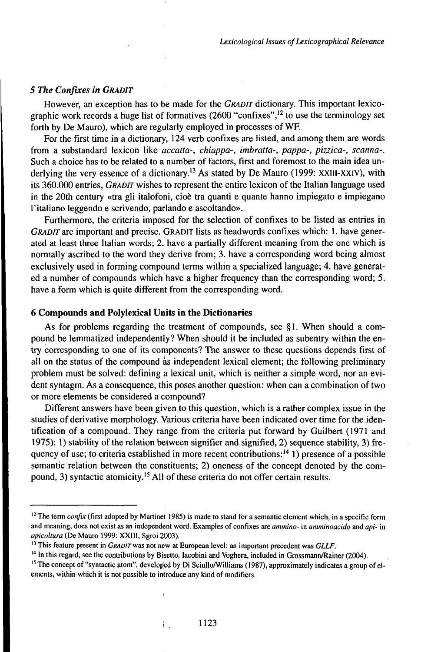## *5 The Confixes in GRADIT*

However, an exception has to be made for the *GRADlT* dictionary. This important lexicographic work records a huge list of formatives (2600 "confixes",<sup>12</sup> to use the terminology set forth by De Mauro), which are regularly employed in processes of WF.

For the first time in a dictionary, 124 verb confixes are listed, and among them are words from a substandard lexicon like *accatta-, chiappa-, imbratta-, pappa-, pizzica-, scanna-.* Such a choice has to be related to a number of factors, first and foremost to the main idea underlying the very essence of a dictionary.<sup>13</sup> As stated by De Mauro (1999: XXIII-XXIV), with its 360.000 entries, *GRADrr* wishes to represent the entire lexicon of the Italian language used in the 20th century «tra gli italofoni, cioè tra quanti e quante hanno impiegato e impiegano l'italiano leggendo e scrivendo, parlando e ascoltando».

Furthermore, the criteria imposed for the selection of confixes to be listed as entries in *GRADIT* are important and precise. GRADIT lists as headwords confixes which: 1. have generated at least three Italian words; 2. have a partially different meaning from the one which is normally ascribed to the word they derive from; 3. have a corresponding word being almost exclusively used in forming compound terms within a specialized language; 4. have generated a number of compounds which have a higher frequency than the corresponding word; 5. have a form which is quite different from the corresponding word.

## **6 Compounds and Polylexical Units in the Dictionaries**

As for problems regarding the treatment of compounds, see §1. When should a compound be lemmatized independently? When should it be included as subentry within the entry corresponding to one of its components? The answer to these questions depends first of all on the status of the compound as independent lexical element; the following preliminary problem must be solved: defining a lexical unit, which is neither a simple word, nor an evident syntagm. As a consequence, this poses another question: when can a combination of two or more elements be considered a compound?

Different answers have been given to this question, which is a rather complex issue in the studies of derivative morphology. Various criteria have been indicated over time for the identification of a compound. They range from the criteria put forward by Guilbert (1971 and 1975): 1) stability of the relation between signifier and signified, 2) sequence stability, 3) frequency of use; to criteria established in more recent contributions:<sup>14</sup> 1) presence of a possible semantic relation between the constituents; 2) oneness of the concept denoted by the compound, 3) syntactic atomicity.<sup>15</sup> All of these criteria do not offer certain results.

i.

<sup>&</sup>lt;sup>12</sup> The term *confix* (first adopted by Martinet 1985) is made to stand for a semantic element which, in a specific form and meaning, does not exist as an independent word. Examples of confixes are *ammino-* in *amminoacido* and *api-* in *apicoltura* (De Mauro 1999: XXIII, Sgroi 2003).

<sup>13</sup> This feature present in *GRADrrwas* not new at European level: an important precedent was *CLLF.*

<sup>&</sup>lt;sup>14</sup> In this regard, see the contributions by Bisetto, Iacobini and Voghera, included in Grossmann/Rainer (2004).

<sup>&</sup>lt;sup>15</sup> The concept of "syntactic atom", developed by Di Sciullo/Williams (1987), approximately indicates a group of elements, within which it is not possible to introduce any kind of modifiers.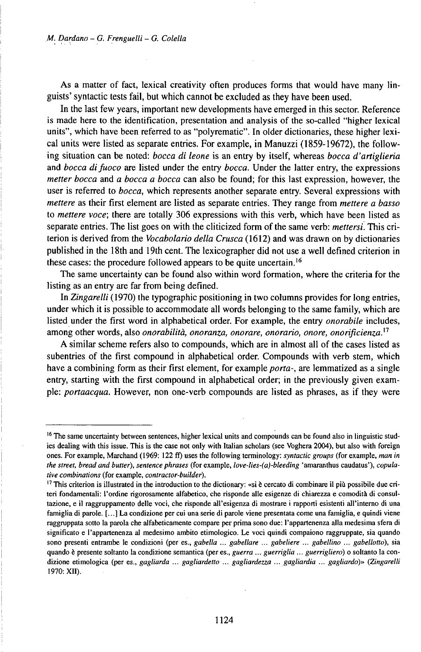As a matter of fact, lexical creativity often produces forms that would have many linguists' syntactic tests fail, but which cannot be excluded as they have been used.

In the last few years, important new developments have emerged in this sector. Reference is made here to the identification, presentation and analysis of the so-called "higher lexical units", which have been referred to as "polyrematic". In older dictionaries, these higher lexical units were listed as separate entries. For example, in Manuzzi (1859-19672), the following situation can be noted: *bocca di leone* is an entry by itself, whereas *bocca d'artiglieria* and *bocca difuoco* are listed under the entry *bocca.* Under the latter entry, the expressions *metter bocca* and *a bocca a bocca* can also be found; for this last expression, however, the user is referred to *bocca,* which represents another separate entry. Several expressions with *mettere* as their first element are listed as separate entries. They range from *mettere a basso* to *mettere voce;* there are totally 306 expressions with this verb, which have been listed as separate entries. The list goes on with the cliticized form of the same verb: *mettersi.* This criterion is derived from the *Vocabolario della Crusca* (1612) and was drawn on by dictionaries published in the 18th and 19th cent. The lexicographer did not use a well defined criterion in these cases: the procedure followed appears to be quite uncertain.<sup>16</sup>

The same uncertainty can be found also within word formation, where the criteria for the listing as an entry are far from being defined.

In *Zingarelli* (1970) the typographic positioning in two columns provides for long entries, under which it is possible to accommodate all words belonging to the same family, which are listed under the first word in alphabetical order. For example, the entry *onorabile* includes, among other words, also *onorabilità, onoranza, onorare, onorario, onore, onorìficienza}<sup>1</sup>*

A similar scheme refers also to compounds, which are in almost all of the cases listed as subentries of the first compound in alphabetical order. Compounds with verb stem, which have a combining form as their first element, for example *porta-,* are lemmatized as a single entry, starting with the first compound in alphabetical order; in the previously given example: *portaacqua.* However, non one-verb compounds are listed as phrases, as if they were

<sup>&</sup>lt;sup>16</sup> The same uncertainty between sentences, higher lexical units and compounds can be found also in linguistic studies dealing with this issue. This is the case not only with Italian scholars (see Voghera 2004), but also with foreign ones. For example, Marchand (1969: 122 ff) uses the following terminology: *syntactic groups* (for example, *man in the street, bread and butter), sentence phrases* (for example, *love-lies-(a)-bleeding* 'amaranthus caudatus'), *copubtive combinations* (for example, *contractor-builder).*

<sup>&</sup>lt;sup>17</sup> This criterion is illustrated in the introduction to the dictionary: «si è cercato di combinare il più possibile due criteri fondamentali: l'ordine rigorosamente alfabetico, che risponde alle esigenze di chiarezza e comodità di consultazione, e il raggruppamento delle voci, che risponde all'esigenza di mostrare i rapporti esistenti all'interno di una famiglia di parole. [...] La condizione per cui una serie di parole viene presentata come una famiglia, e quindi viene raggruppata sotto la parola che alfabeticamente compare per prima sono due: l'appartenenza alla medesima sfera di significato e l'appartenenza al medesimo ambito etimologico. Le voci quindi compaiono raggruppate, sia quando sono presenti entrambe le condizioni (per es., *gabella ... gabellare ... gabeliere ... gabellino ... gabellotto),* sia quando è presente soltanto la condizione semantica (per es., *guerra ... guerriglia ... guerrigliero)* o soltanto la condizione etimologica (per es., *gagliarda ... gagliardetto ... gagliardezza ... gagliardia ... gagliardo)» (Zingarelli* 1970: XII).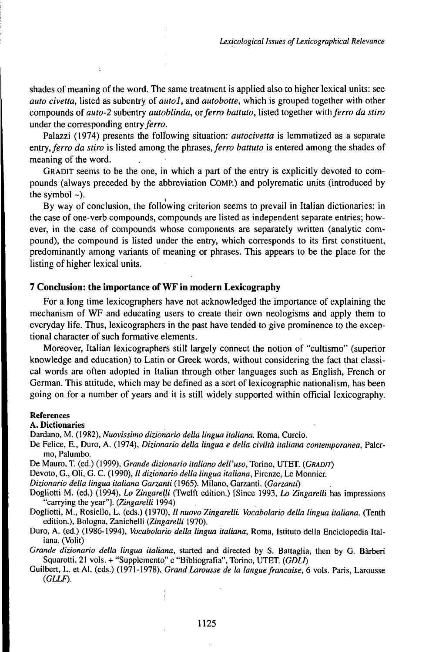shades of meaning of the word. The same treatment is applied also to higher lexical units: see *auto civetta*, listed as subentry of *autol*, and *autobotte*, which is grouped together with other compounds *oiauto-2* subentry *autoblinda, orferro battuto,* listed together *wilhferro da stiro* under the corresponding entry ferro.

Palazzi (1974) presents the following situation: *autocivetta* is lemmatized as a separate entry, ferro da *stiro* is listed among the phrases, ferro *battuto* is entered among the shades of meaning of the word.

GRADlT seems to be the one, in which a part of the entry is explicitly devoted to compounds (always preceded by the abbreviation COMP.) and polyrematic units (introduced by the symbol  $\sim$ ).

By way of conclusion, the following criterion seems to prevail in Italian dictionaries: in the case of one-verb compounds, compounds are listed as independent separate entries; however, in the case of compounds whose components are separately written (analytic compound), the compound is listed under the entry, which corresponds to its first constituent, predominantly among variants of meaning or phrases. This appears to be the place for the listing of higher lexical units.

### **7 Conclusion: the importance of WF in modern Lexicography**

For a long time lexicographers have not acknowledged the importance of explaining the mechanism of WF and educating users to create their own neologisms and apply them to everyday life. Thus, lexicographers in the past have tended to give prominence to the exceptional character of such formative elements.

Moreover, Italian lexicographers still largely connect the notion of "cultismo" (superior knowledge and education) to Latin or Greek words, without considering the fact that classical words are often adopted in Italian through other languages such as English, French or German. This attitude, which may be defined as a sort of lexicographic nationalism, has been going on for a number of years and it is still widely supported within official lexicography.

#### References

### A. Dictionaries

Dardano, M. (1982), *Nuovissimo dizionario della lingua italiana.* Roma, Curcio.

- De Felice, E., Duro, A. (1974), *Dizionario della lingua e della civiltà italiana contemporanea,* Palermo, Palumbo.
- De Mauro, T. (ed.) (1999), *Grande dizionario italiano dell'uso,* Torino, UTET. *(GRADiT)*

Devoto, G., Oli, G. C. (1990), // *dizionario della lingua italiana,* Firenze, Le Monnier.

*Dizionario della lingua italiana Garzanti* (1965). Milano, Garzanti. *(Garzanti)*

Dogliotti M. (ed.) (1994), *Lo Zingarelli* CTwelft edition.) [Since 1993, *Lo Zingarelli* has impressions "carrying the year"]. *(Zingarelli* 1994)

Dogliotti, M., Rosiello, L. (eds.) (1970), *II nuovo Zingarelli. Vocabolario detta lingua italiana.* (Tenth edition.), Bologna, Zanichelli *(Zingarelli* 1970).

Duro, A. (ed.) (1986-1994), *Vocabolario della lingua italiana,* Roma, Istituto della Enciclopedia Italiana. (Volit)

*Grande dizionario della lingua italiana,* started and directed by S. Battaglia, then by G. Bàrberi Squarotti, 21 vols. + "Supplemento" e "Bibliografia", Torino, UTET. *(GDLI)*

Guilbert, L. et Al. (eds.) (1971-1978), *Grand Larousse de la languefrancaise,* 6 vols. Paris, Larousse *(GLLF).*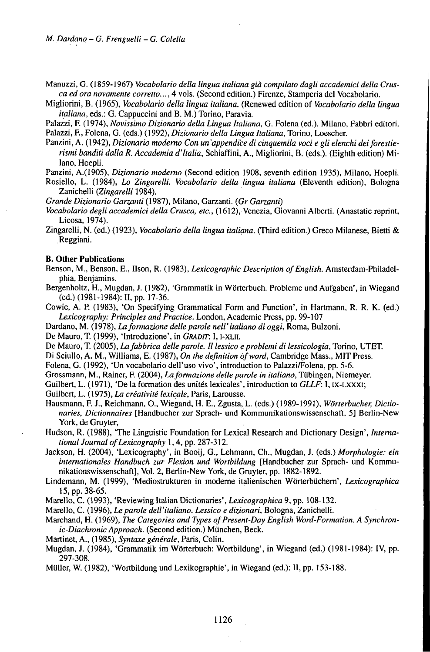Manuzzi, G. (1859-1967) *Vocabolario della lingua italiana già compilato dagli accademici della Crusca ed ora novamente corretto...,* 4 vols. (Second edition.) Firenze, Stamperia del Vocabolario.

Migliorini, B. (1965), *Vocabolario della lingua italiana.* (Renewed edition of *Vocabolario della lingua italiana,* eds.: G. Cappuccini and B. M.) Torino, Paravia.

Palazzi, F. (1974), *Novissimo Dizionario della Lingua Italiana,* G. Folena (ed.). Milano, Fabbri editori. Palazzi, F., Folena, G. (eds.) (1992), *Dizionario della Lingua Italiana,* Torino, Loescher.

- Panzini, A. (1942), *Dizionario moderno Con un'appendice di cinquemila voci e gli elenchi deiforestierismi banditi dalla R. Accademia d'Italia,* Schiaffini, A., Migliorini, B. (eds.). (Eighth edition) Milano, Hoepli.
- Panzini, A.(1905), *Dizionario moderno* (Second edition 1908, seventh edition 1935), Milano, Hoepli.

Rosiello, L. (1984), *Lo Zingarelli. Vocabolario della lingua italiana* (Eleventh edition), Bologna Zanichelli *(Zingarelli* 1984).

*Grande Dizionario Garzanti* (1987), Milano, Garzanti. *(Gr Garzanti)*

*Vocabolario degli accademici della Crusca, etc.,* (1612), Venezia, Giovanni Alberti. (Anastatic reprint, Licosa, 1974).

Zingarelli, N. (ed.) (1923), *Vocabolario della lingua italiana.* (Third edition.) Greco Milanese, Bietti & Reggiani.

#### **B. Other Publications**

- Benson, M., Benson, E., Ilson, R. (1983), *Lexicographic Description of English*. Amsterdam-Philadelphia, Benjamins.
- Bergenholtz, H., Mugdan, J. (1982), 'Grammatik in Wörterbuch. Probleme und Aufgaben', in Wiegand (ed.) (1981-1984): II, pp. 17-36.

Cowie, A. P. (1983), 'On Specifying Grammatical Form and Function', in Hartmann, R. R. K. (ed.) *Lexicography: Principles and Practice.* London, Academic Press, pp. 99-107

Dardano, M. *(l97S),Laformazionedelleparolenell'italianodioggi,* Roma, Bulzoni.

De Mauro, T. (1999), 'Introduzione', in *GRADrr.* I, i-xui.

De Mauro, T. (2005), *Lafabbrica delle parole. II lessico e problemi di lessicologia,* Torino, UTET.

Di Sciullo, A. M., Williams, E. (1987), *On the definition ofword,* Cambridge Mass., MIT Press.

Folena, G. (1992), 'Un vocabolario dell'uso vivo', introduction to Palazzi/Folena, pp. 5-6.

Grossmarm, M., Rainer, F. (2004), *Laformazione delleparole in italiano,* Tübingen, Niemeyer.

Guilbert, L. (1971), 'De la formation des unités lexicales', introduction to *GLLF:* I, ix-LXXXi;

Guilbert, L. (1975), *La créativité lexicale,* Paris, Larousse.

Hausmann, F. J., Reichmann, 0., Wiegand, H. E., Zgusta, L. (eds.) (1989-1991), *Wörterbucher, Dictionaries, Dictionnaires* [Handbucher zur Sprach- und Kommunikationswissenschaft, 5] Berlin-New York, de Gruyter,

Hudson, R. (1988), 'The Linguistic Foundation for Lexical Research and Dictionary Design', *International Journal ofLexicography* 1,4, pp. 287-312.

- Jackson, H. (2004), 'Lexicography', in Booij, G., Lehmann, Ch., Mugdan, J. (eds.) *Morphologie: ein internationales Handbuch zur Flexion und Wortbildung* [Handbucher zur Sprach- und Kommunikationswissenschaft], Vol. 2, Berlin-New York, de Gruyter, pp. 1882-1892.
- Lindemann, M. (1999), 'Mediostrukturen in moderne italienischen Wörterbüchern', *Lexicographica* 15, pp. 38-65.

Marello, C. (1993), 'Reviewing Italian Dictionaries', *Lexicographica 9,* pp. 108-132.

Marello, •. (1996), *Leparole dell'italiano. Lessico <sup>e</sup> dizionari,* Bologna, Zanichelli.

Marchand, H. (1969), *The Categories and Types of Present-Day English Word-Formation. A Synchronic-DiachronicApproach.* (Second edition.) München, Beck.

- Martinet, A., (1985), *Syntaxe generale,* Paris, Colin.
- Mugdan, J. (1984), 'Grammatik im Wörterbuch: Wortbildung', in Wiegand (ed.) (1981-1984): IV, pp. 297-308.

Müller, W. (1982), 'Wortbildung und Lexikographie', in Wiegand (ed.): II, pp. 153-188.